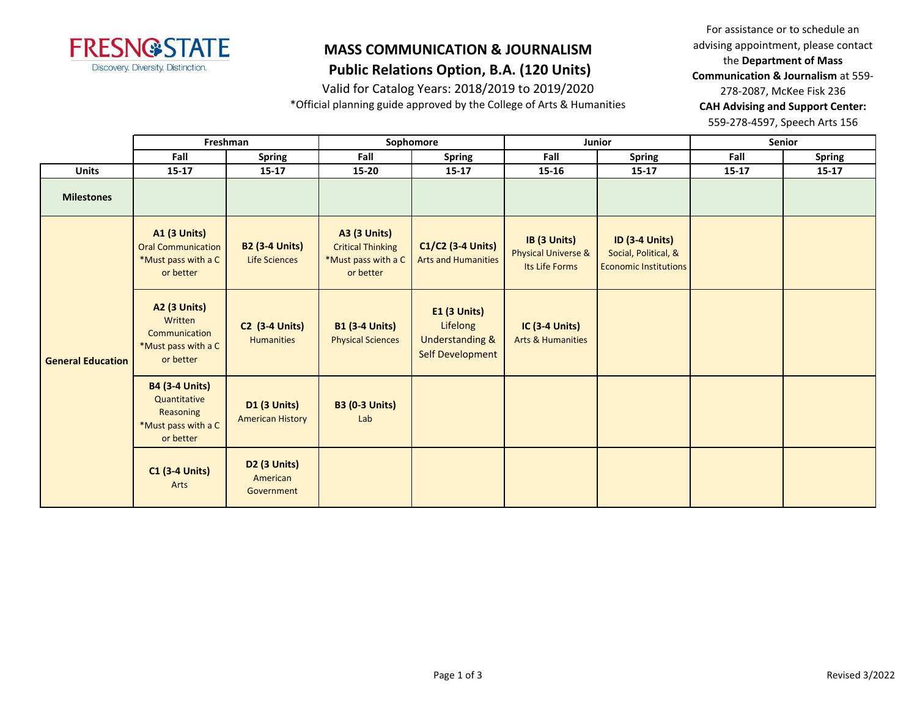

## **Public Relations Option, B.A. (120 Units)**

Valid for Catalog Years: 2018/2019 to 2019/2020

\*Official planning guide approved by the College of Arts & Humanities

For assistance or to schedule an advising appointment, please contact the **Department of Mass Communication & Journalism** at 559- 278-2087, McKee Fisk 236 **CAH Advising and Support Center:**  559-278-4597, Speech Arts 156

|                          | Freshman                                                                               |                                                | Sophomore                                                                           |                                                                                          |                                                       | Junior                                                                        | <b>Senior</b> |               |
|--------------------------|----------------------------------------------------------------------------------------|------------------------------------------------|-------------------------------------------------------------------------------------|------------------------------------------------------------------------------------------|-------------------------------------------------------|-------------------------------------------------------------------------------|---------------|---------------|
|                          | Fall                                                                                   | <b>Spring</b>                                  | Fall                                                                                | <b>Spring</b>                                                                            | Fall                                                  | <b>Spring</b>                                                                 | Fall          | <b>Spring</b> |
| <b>Units</b>             | $15 - 17$                                                                              | $15 - 17$                                      | $15 - 20$                                                                           | $15 - 17$                                                                                | $15 - 16$                                             | $15 - 17$                                                                     | $15 - 17$     | $15 - 17$     |
| <b>Milestones</b>        |                                                                                        |                                                |                                                                                     |                                                                                          |                                                       |                                                                               |               |               |
| <b>General Education</b> | <b>A1 (3 Units)</b><br><b>Oral Communication</b><br>*Must pass with a C<br>or better   | <b>B2 (3-4 Units)</b><br><b>Life Sciences</b>  | <b>A3 (3 Units)</b><br><b>Critical Thinking</b><br>*Must pass with a C<br>or better | C1/C2 (3-4 Units)<br><b>Arts and Humanities</b>                                          | IB (3 Units)<br>Physical Universe &<br>Its Life Forms | <b>ID (3-4 Units)</b><br>Social, Political, &<br><b>Economic Institutions</b> |               |               |
|                          | <b>A2 (3 Units)</b><br>Written<br>Communication<br>*Must pass with a C<br>or better    | <b>C2</b> (3-4 Units)<br><b>Humanities</b>     | <b>B1 (3-4 Units)</b><br><b>Physical Sciences</b>                                   | <b>E1 (3 Units)</b><br>Lifelong<br><b>Understanding &amp;</b><br><b>Self Development</b> | <b>IC (3-4 Units)</b><br><b>Arts &amp; Humanities</b> |                                                                               |               |               |
|                          | <b>B4 (3-4 Units)</b><br>Quantitative<br>Reasoning<br>*Must pass with a C<br>or better | <b>D1 (3 Units)</b><br><b>American History</b> | <b>B3 (0-3 Units)</b><br>Lab                                                        |                                                                                          |                                                       |                                                                               |               |               |
|                          | <b>C1 (3-4 Units)</b><br>Arts                                                          | <b>D2 (3 Units)</b><br>American<br>Government  |                                                                                     |                                                                                          |                                                       |                                                                               |               |               |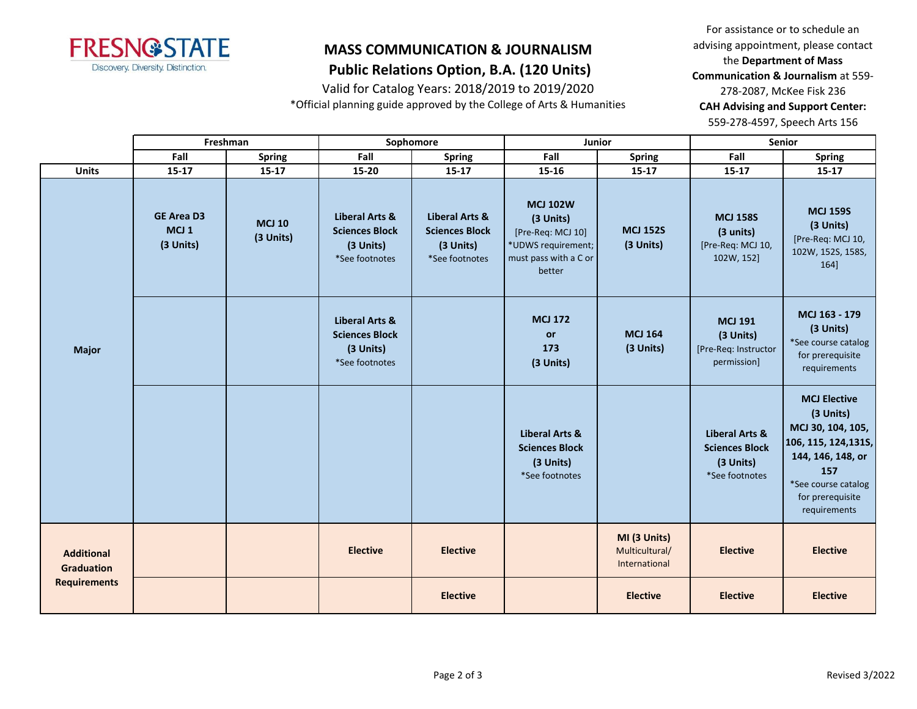

### **MASS COMMUNICATION & JOURNALISM Public Relations Option, B.A. (120 Units)**

Valid for Catalog Years: 2018/2019 to 2019/2020

\*Official planning guide approved by the College of Arts & Humanities

For assistance or to schedule an advising appointment, please contact the **Department of Mass Communication & Journalism** at 559- 278-2087, McKee Fisk 236 **CAH Advising and Support Center:**  559-278-4597, Speech Arts 156

|                                        |                                                    | Freshman                   |                                                                        | Sophomore                                                              | Junior                                                                                                     |                                                 |                                                                                   | Senior                                                                                                                                                               |
|----------------------------------------|----------------------------------------------------|----------------------------|------------------------------------------------------------------------|------------------------------------------------------------------------|------------------------------------------------------------------------------------------------------------|-------------------------------------------------|-----------------------------------------------------------------------------------|----------------------------------------------------------------------------------------------------------------------------------------------------------------------|
|                                        | Fall                                               | Spring                     | Fall                                                                   | <b>Spring</b>                                                          | Fall                                                                                                       | <b>Spring</b>                                   | Fall                                                                              | <b>Spring</b>                                                                                                                                                        |
| <b>Units</b>                           | $15 - 17$                                          | $15 - 17$                  | 15-20                                                                  | $15 - 17$                                                              | 15-16                                                                                                      | $15 - 17$                                       | $15-17$                                                                           | 15-17                                                                                                                                                                |
|                                        | <b>GE Area D3</b><br>MCJ <sub>1</sub><br>(3 Units) | <b>MCJ 10</b><br>(3 Units) | Liberal Arts &<br><b>Sciences Block</b><br>(3 Units)<br>*See footnotes | Liberal Arts &<br><b>Sciences Block</b><br>(3 Units)<br>*See footnotes | <b>MCJ 102W</b><br>(3 Units)<br>[Pre-Req: MCJ 10]<br>*UDWS requirement;<br>must pass with a C or<br>better | <b>MCJ 152S</b><br>(3 Units)                    | <b>MCJ 158S</b><br>(3 units)<br>[Pre-Req: MCJ 10,<br>102W, 152]                   | <b>MCJ 159S</b><br>(3 Units)<br>[Pre-Req: MCJ 10,<br>102W, 152S, 158S,<br>164]                                                                                       |
| <b>Major</b>                           |                                                    |                            | Liberal Arts &<br><b>Sciences Block</b><br>(3 Units)<br>*See footnotes |                                                                        | <b>MCJ 172</b><br><b>or</b><br>173<br>(3 Units)                                                            | <b>MCJ 164</b><br>(3 Units)                     | <b>MCJ 191</b><br>(3 Units)<br>[Pre-Req: Instructor<br>permission]                | MCJ 163 - 179<br>(3 Units)<br>*See course catalog<br>for prerequisite<br>requirements                                                                                |
|                                        |                                                    |                            |                                                                        |                                                                        | <b>Liberal Arts &amp;</b><br><b>Sciences Block</b><br>(3 Units)<br>*See footnotes                          |                                                 | <b>Liberal Arts &amp;</b><br><b>Sciences Block</b><br>(3 Units)<br>*See footnotes | <b>MCJ Elective</b><br>(3 Units)<br>MCJ 30, 104, 105,<br>106, 115, 124, 1315,<br>144, 146, 148, or<br>157<br>*See course catalog<br>for prerequisite<br>requirements |
| <b>Additional</b><br><b>Graduation</b> |                                                    |                            | <b>Elective</b>                                                        | <b>Elective</b>                                                        |                                                                                                            | MI (3 Units)<br>Multicultural/<br>International | <b>Elective</b>                                                                   | <b>Elective</b>                                                                                                                                                      |
| <b>Requirements</b>                    |                                                    |                            |                                                                        | <b>Elective</b>                                                        |                                                                                                            | <b>Elective</b>                                 | <b>Elective</b>                                                                   | <b>Elective</b>                                                                                                                                                      |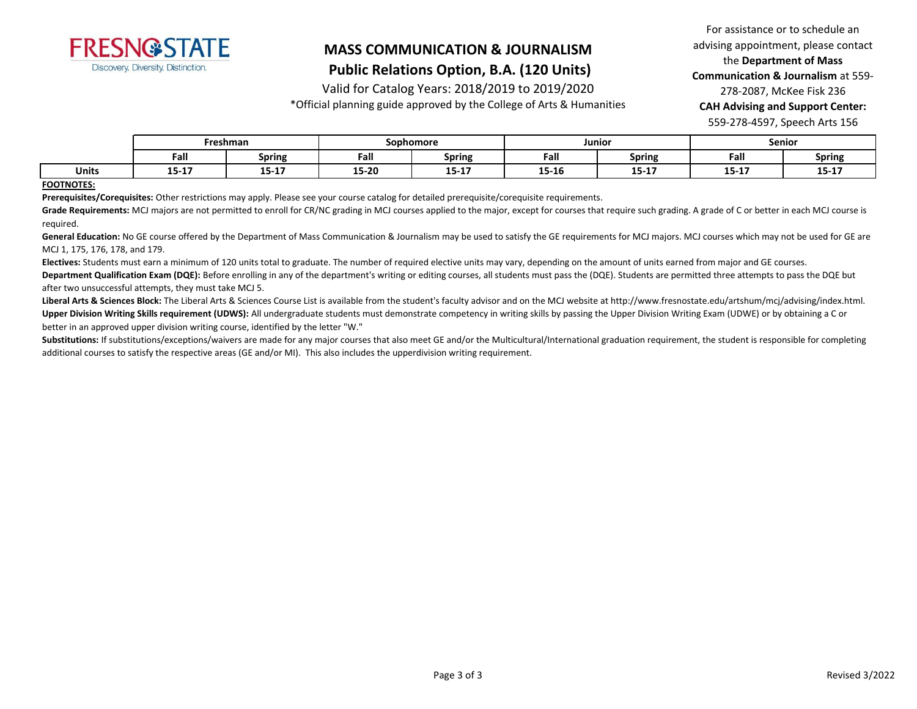

### **Public Relations Option, B.A. (120 Units)**

Valid for Catalog Years: 2018/2019 to 2019/2020

\*Official planning guide approved by the College of Arts & Humanities

For assistance or to schedule an advising appointment, please contact the **Department of Mass Communication & Journalism** at 559- 278-2087, McKee Fisk 236 **CAH Advising and Support Center:**  559-278-4597, Speech Arts 156

|              | Freshman  |           | Sophomore |                         |       | Junior                | Senior            |               |
|--------------|-----------|-----------|-----------|-------------------------|-------|-----------------------|-------------------|---------------|
|              | Fall      | Spring    | Fall      | <b>Spring</b>           | Fall  | Spring                | Fall              | <b>Spring</b> |
| <b>Units</b> | $15 - 17$ | $15 - 17$ | 15-20     | . <del>.</del><br>13-TV | 15-16 | <b>AP 47</b><br>13-T) | $- - -$<br>13-T V | $15 - 17$     |

#### **FOOTNOTES:**

**Prerequisites/Corequisites:** Other restrictions may apply. Please see your course catalog for detailed prerequisite/corequisite requirements.

Grade Requirements: MCJ majors are not permitted to enroll for CR/NC grading in MCJ courses applied to the major, except for courses that require such grading. A grade of C or better in each MCJ course is required.

General Education: No GE course offered by the Department of Mass Communication & Journalism may be used to satisfy the GE requirements for MCJ majors. MCJ courses which may not be used for GE are MCJ 1, 175, 176, 178, and 179.

**Electives:** Students must earn a minimum of 120 units total to graduate. The number of required elective units may vary, depending on the amount of units earned from major and GE courses.

Department Qualification Exam (DQE): Before enrolling in any of the department's writing or editing courses, all students must pass the (DQE). Students are permitted three attempts to pass the DQE but after two unsuccessful attempts, they must take MCJ 5.

Liberal Arts & Sciences Block: The Liberal Arts & Sciences Course List is available from the student's faculty advisor and on the MCJ website at http://www.fresnostate.edu/artshum/mcj/advising/index.html. **Upper Division Writing Skills requirement (UDWS):** All undergraduate students must demonstrate competency in writing skills by passing the Upper Division Writing Exam (UDWE) or by obtaining a C or better in an approved upper division writing course, identified by the letter "W."

Substitutions: If substitutions/exceptions/waivers are made for any major courses that also meet GE and/or the Multicultural/International graduation requirement, the student is responsible for completing additional courses to satisfy the respective areas (GE and/or MI). This also includes the upperdivision writing requirement.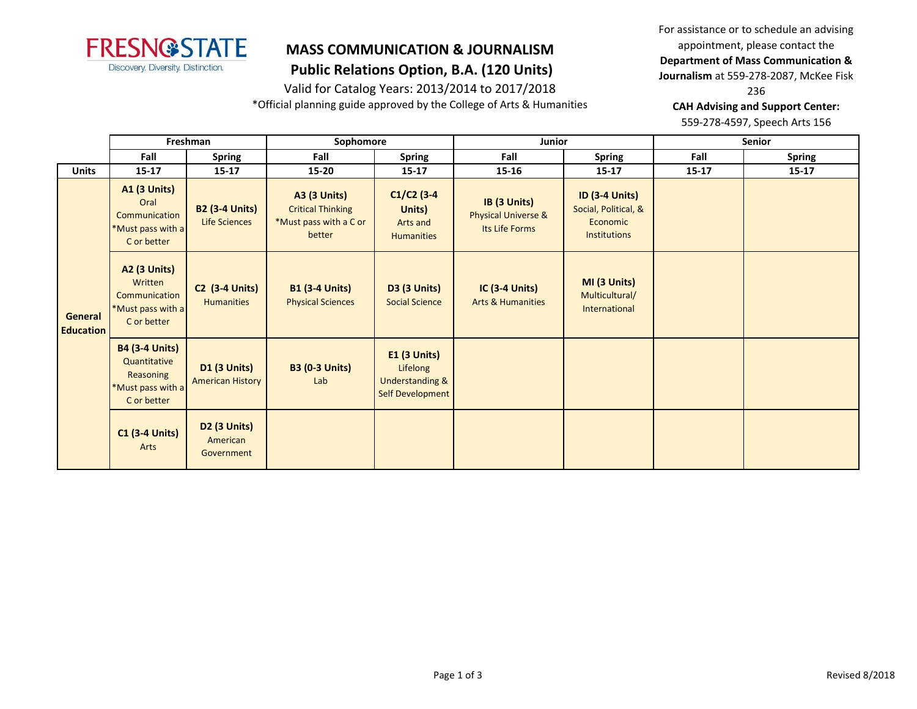

 **Public Relations Option, B.A. (120 Units)**

Valid for Catalog Years: 2013/2014 to 2017/2018

\*Official planning guide approved by the College of Arts & Humanities

For assistance or to schedule an advising appointment, please contact the **Department of Mass Communication & Journalism** at 559-278-2087, McKee Fisk

236

**CAH Advising and Support Center:** 

559-278-4597, Speech Arts 156

|                             | Freshman                                                                               |                                                | Sophomore                                                                           |                                                                                   | <b>Junior</b>                                         |                                                                                  | Senior    |               |
|-----------------------------|----------------------------------------------------------------------------------------|------------------------------------------------|-------------------------------------------------------------------------------------|-----------------------------------------------------------------------------------|-------------------------------------------------------|----------------------------------------------------------------------------------|-----------|---------------|
|                             | Fall                                                                                   | <b>Spring</b>                                  | Fall                                                                                | <b>Spring</b>                                                                     | Fall                                                  | <b>Spring</b>                                                                    | Fall      | <b>Spring</b> |
| <b>Units</b>                | $15 - 17$                                                                              | $15 - 17$                                      | 15-20                                                                               | $15 - 17$                                                                         | $15 - 16$                                             | $15 - 17$                                                                        | $15 - 17$ | $15 - 17$     |
| General<br><b>Education</b> | <b>A1 (3 Units)</b><br>Oral<br>Communication<br>*Must pass with a<br>C or better       | <b>B2 (3-4 Units)</b><br><b>Life Sciences</b>  | <b>A3 (3 Units)</b><br><b>Critical Thinking</b><br>*Must pass with a C or<br>better | $C1/C2$ (3-4<br>Units)<br>Arts and<br><b>Humanities</b>                           | IB (3 Units)<br>Physical Universe &<br>Its Life Forms | <b>ID (3-4 Units)</b><br>Social, Political, &<br>Economic<br><b>Institutions</b> |           |               |
|                             | <b>A2 (3 Units)</b><br>Written<br>Communication<br>*Must pass with a<br>C or better    | <b>C2 (3-4 Units)</b><br><b>Humanities</b>     | <b>B1 (3-4 Units)</b><br><b>Physical Sciences</b>                                   | <b>D3 (3 Units)</b><br><b>Social Science</b>                                      | $IC$ (3-4 Units)<br><b>Arts &amp; Humanities</b>      | MI (3 Units)<br>Multicultural/<br>International                                  |           |               |
|                             | <b>B4 (3-4 Units)</b><br>Quantitative<br>Reasoning<br>*Must pass with a<br>C or better | <b>D1 (3 Units)</b><br><b>American History</b> | <b>B3 (0-3 Units)</b><br>Lab                                                        | <b>E1 (3 Units)</b><br>Lifelong<br><b>Understanding &amp;</b><br>Self Development |                                                       |                                                                                  |           |               |
|                             | <b>C1 (3-4 Units)</b><br>Arts                                                          | <b>D2 (3 Units)</b><br>American<br>Government  |                                                                                     |                                                                                   |                                                       |                                                                                  |           |               |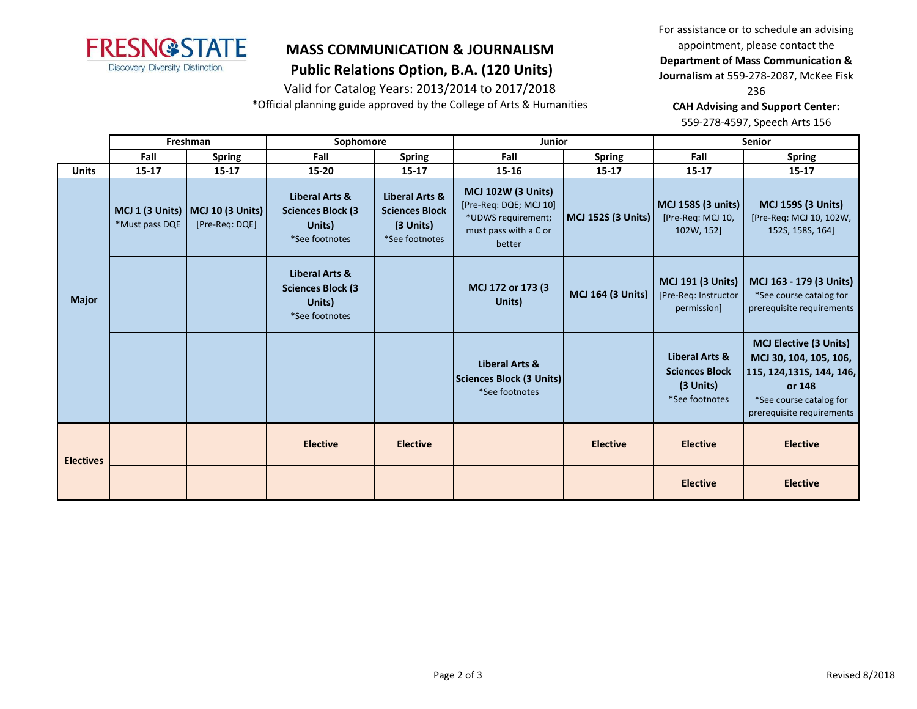

 **Public Relations Option, B.A. (120 Units)**

Valid for Catalog Years: 2013/2014 to 2017/2018

\*Official planning guide approved by the College of Arts & Humanities

For assistance or to schedule an advising appointment, please contact the **Department of Mass Communication &** 

**Journalism** at 559-278-2087, McKee Fisk

236

**CAH Advising and Support Center:** 

559-278-4597, Speech Arts 156

|                  | Freshman       |                                                        | Sophomore                                                                          |                                                                          | <b>Junior</b>                                                                                                |                          | <b>Senior</b>                                                          |                                                                                                                                                        |
|------------------|----------------|--------------------------------------------------------|------------------------------------------------------------------------------------|--------------------------------------------------------------------------|--------------------------------------------------------------------------------------------------------------|--------------------------|------------------------------------------------------------------------|--------------------------------------------------------------------------------------------------------------------------------------------------------|
|                  | Fall           | <b>Spring</b>                                          | Fall                                                                               | <b>Spring</b>                                                            | Fall                                                                                                         | <b>Spring</b>            | Fall                                                                   | <b>Spring</b>                                                                                                                                          |
| <b>Units</b>     | $15 - 17$      | $15 - 17$                                              | $15 - 20$                                                                          | 15-17                                                                    | $15 - 16$                                                                                                    | $15 - 17$                | $15 - 17$                                                              | $15 - 17$                                                                                                                                              |
|                  | *Must pass DQE | MCJ 1 (3 Units)   MCJ 10 (3 Units)  <br>[Pre-Req: DQE] | Liberal Arts &<br><b>Sciences Block (3)</b><br>Units)<br>*See footnotes            | Liberal Arts &<br><b>Sciences Block</b><br>$(3$ Units)<br>*See footnotes | <b>MCJ 102W (3 Units)</b><br>[Pre-Req: DQE; MCJ 10]<br>*UDWS requirement;<br>must pass with a C or<br>better | MCJ 152S (3 Units)       | MCJ 158S (3 units)<br>[Pre-Req: MCJ 10,<br>102W, 152]                  | <b>MCJ 159S (3 Units)</b><br>[Pre-Req: MCJ 10, 102W,<br>152S, 158S, 164]                                                                               |
| <b>Major</b>     |                |                                                        | <b>Liberal Arts &amp;</b><br><b>Sciences Block (3)</b><br>Units)<br>*See footnotes |                                                                          | MCJ 172 or 173 (3)<br>Units)                                                                                 | <b>MCJ 164 (3 Units)</b> | <b>MCJ 191 (3 Units)</b><br>[Pre-Req: Instructor<br>permission]        | MCJ 163 - 179 (3 Units)<br>*See course catalog for<br>prerequisite requirements                                                                        |
|                  |                |                                                        |                                                                                    |                                                                          | <b>Liberal Arts &amp;</b><br>Sciences Block (3 Units)<br>*See footnotes                                      |                          | Liberal Arts &<br><b>Sciences Block</b><br>(3 Units)<br>*See footnotes | <b>MCJ Elective (3 Units)</b><br>MCJ 30, 104, 105, 106,<br>115, 124, 1315, 144, 146,<br>or 148<br>*See course catalog for<br>prerequisite requirements |
| <b>Electives</b> |                |                                                        | <b>Elective</b>                                                                    | <b>Elective</b>                                                          |                                                                                                              | <b>Elective</b>          | <b>Elective</b>                                                        | <b>Elective</b>                                                                                                                                        |
|                  |                |                                                        |                                                                                    |                                                                          |                                                                                                              |                          | <b>Elective</b>                                                        | <b>Elective</b>                                                                                                                                        |